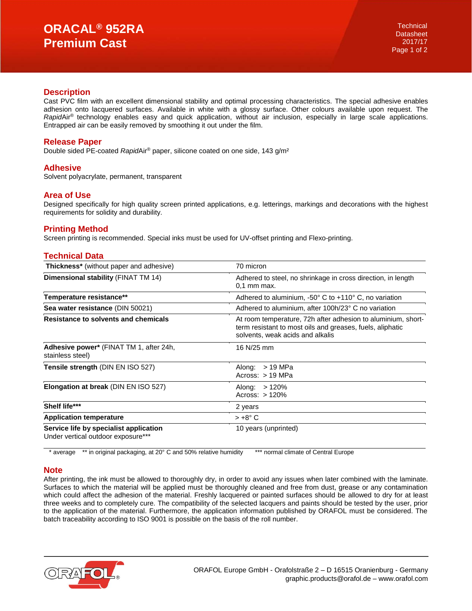#### **Description**

Cast PVC film with an excellent dimensional stability and optimal processing characteristics. The special adhesive enables adhesion onto lacquered surfaces. Available in white with a glossy surface. Other colours available upon request. The *Rapid*Air® technology enables easy and quick application, without air inclusion, especially in large scale applications. Entrapped air can be easily removed by smoothing it out under the film.

## **Release Paper**

Double sided PE-coated *Rapid*Air® paper, silicone coated on one side, 143 g/m²

## **Adhesive**

Solvent polyacrylate, permanent, transparent

#### **Area of Use**

Designed specifically for high quality screen printed applications, e.g. letterings, markings and decorations with the highest requirements for solidity and durability.

## **Printing Method**

Screen printing is recommended. Special inks must be used for UV-offset printing and Flexo-printing.

## **Technical Data**

| <b>Thickness*</b> (without paper and adhesive)                               | 70 micron                                                                                                                                                     |
|------------------------------------------------------------------------------|---------------------------------------------------------------------------------------------------------------------------------------------------------------|
| Dimensional stability (FINAT TM 14)                                          | Adhered to steel, no shrinkage in cross direction, in length<br>$0.1$ mm max.                                                                                 |
| Temperature resistance**                                                     | Adhered to aluminium, $-50^\circ$ C to $+110^\circ$ C, no variation                                                                                           |
| Sea water resistance (DIN 50021)                                             | Adhered to aluminium, after 100h/23° C no variation                                                                                                           |
| Resistance to solvents and chemicals                                         | At room temperature, 72h after adhesion to aluminium, short-<br>term resistant to most oils and greases, fuels, aliphatic<br>solvents, weak acids and alkalis |
| Adhesive power* (FINAT TM 1, after 24h,<br>stainless steel)                  | 16 N/25 mm                                                                                                                                                    |
| Tensile strength (DIN EN ISO 527)                                            | > 19 MPa<br>Along:<br>Across: $> 19$ MPa                                                                                                                      |
| Elongation at break (DIN EN ISO 527)                                         | >120%<br>Along:<br>Across: $>120%$                                                                                                                            |
| Shelf life***                                                                | 2 years                                                                                                                                                       |
| <b>Application temperature</b>                                               | $> +8^{\circ}$ C                                                                                                                                              |
| Service life by specialist application<br>Under vertical outdoor exposure*** | 10 years (unprinted)                                                                                                                                          |

\* average \*\* in original packaging, at 20° C and 50% relative humidity \*\*\* normal climate of Central Europe

## **Note**

After printing, the ink must be allowed to thoroughly dry, in order to avoid any issues when later combined with the laminate. Surfaces to which the material will be applied must be thoroughly cleaned and free from dust, grease or any contamination which could affect the adhesion of the material. Freshly lacquered or painted surfaces should be allowed to dry for at least three weeks and to completely cure. The compatibility of the selected lacquers and paints should be tested by the user, prior to the application of the material. Furthermore, the application information published by ORAFOL must be considered. The batch traceability according to ISO 9001 is possible on the basis of the roll number.